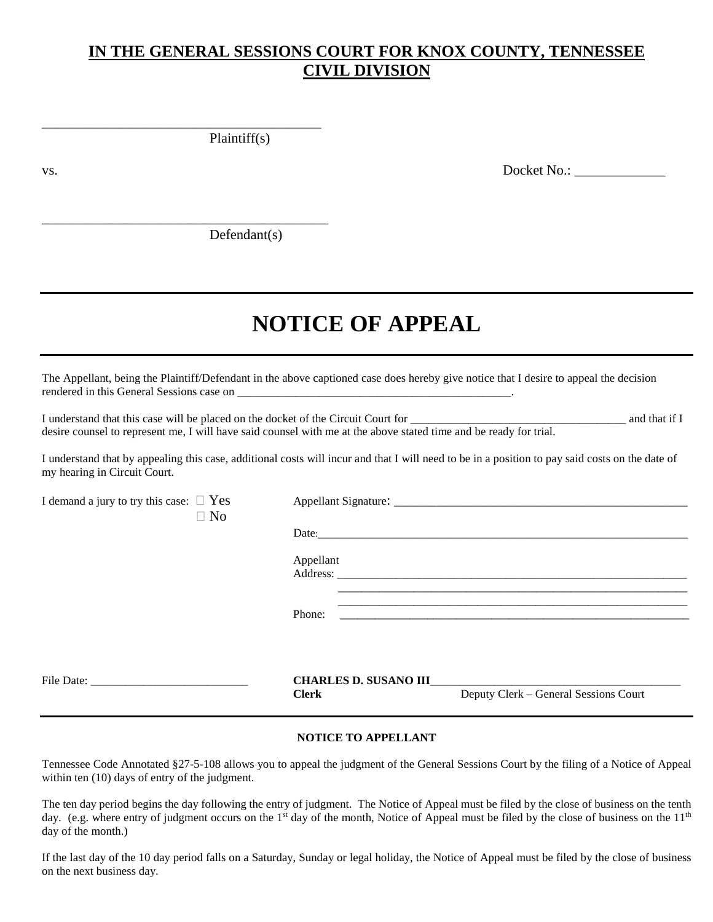## **IN THE GENERAL SESSIONS COURT FOR KNOX COUNTY, TENNESSEE CIVIL DIVISION**

Plaintiff(s)

\_\_\_\_\_\_\_\_\_\_\_\_\_\_\_\_\_\_\_\_\_\_\_\_\_\_\_\_\_\_\_\_\_\_\_\_\_\_\_\_

\_\_\_\_\_\_\_\_\_\_\_\_\_\_\_\_\_\_\_\_\_\_\_\_\_\_\_\_\_\_\_\_\_\_\_\_\_\_\_\_\_

vs. Docket No.:

Defendant(s)

# **NOTICE OF APPEAL**

The Appellant, being the Plaintiff/Defendant in the above captioned case does hereby give notice that I desire to appeal the decision rendered in this General Sessions case on

I understand that this case will be placed on the docket of the Circuit Court for \_\_\_\_\_\_\_\_\_\_\_\_\_\_\_\_\_\_\_\_\_\_\_\_\_\_\_\_\_\_\_\_\_\_\_\_\_ and that if I desire counsel to represent me, I will have said counsel with me at the above stated time and be ready for trial.

I understand that by appealing this case, additional costs will incur and that I will need to be in a position to pay said costs on the date of my hearing in Circuit Court.

I demand a jury to try this case: Yes Appellant Signature: \_\_\_\_\_\_\_\_\_\_\_\_\_\_\_\_\_\_\_\_\_\_\_\_\_\_\_\_\_\_\_\_\_\_\_\_\_\_\_\_\_\_  $\Box$  No Date: Appellant Address: \_\_\_\_\_\_\_\_\_\_\_\_\_\_\_\_\_\_\_\_\_\_\_\_\_\_\_\_\_\_\_\_\_\_\_\_\_\_\_\_\_\_\_\_\_\_\_\_\_\_\_\_\_\_\_\_\_\_\_\_ \_\_\_\_\_\_\_\_\_\_\_\_\_\_\_\_\_\_\_\_\_\_\_\_\_\_\_\_\_\_\_\_\_\_\_\_\_\_\_\_\_\_\_\_\_\_\_\_\_\_\_\_\_\_\_\_\_\_\_\_ Phone: \_\_\_\_\_\_\_\_\_\_\_\_\_\_\_\_\_\_\_\_\_\_\_\_\_\_\_\_\_\_\_\_\_\_\_\_\_\_\_\_\_\_\_\_\_\_\_\_\_\_\_\_\_\_\_\_\_\_\_\_ File Date: **CHARLES D. SUSANO III Clerk** Deputy Clerk – General Sessions Court

#### **NOTICE TO APPELLANT**

Tennessee Code Annotated §27-5-108 allows you to appeal the judgment of the General Sessions Court by the filing of a Notice of Appeal within ten (10) days of entry of the judgment.

The ten day period begins the day following the entry of judgment. The Notice of Appeal must be filed by the close of business on the tenth day. (e.g. where entry of judgment occurs on the 1<sup>st</sup> day of the month, Notice of Appeal must be filed by the close of business on the 11<sup>th</sup> day of the month.)

If the last day of the 10 day period falls on a Saturday, Sunday or legal holiday, the Notice of Appeal must be filed by the close of business on the next business day.